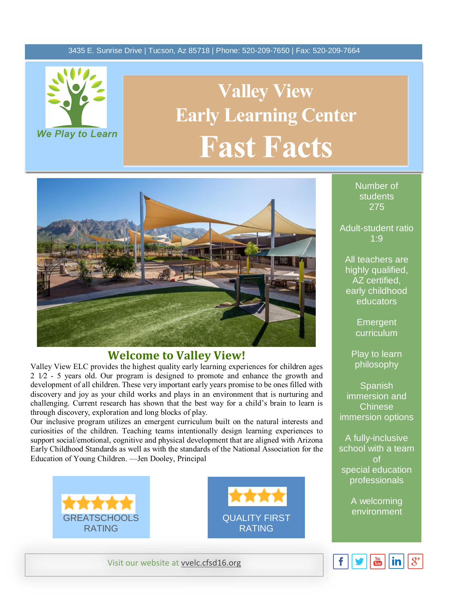### 3435 E. Sunrise Drive | Tucson, Az 85718 | Phone: 520-209-7650 | Fax: 520-209-7664



# **Early Learning Center Valley View Fast Facts**



### **Welcome to Valley View!**

Valley View ELC provides the highest quality early learning experiences for children ages 2 1⁄2 - 5 years old. Our program is designed to promote and enhance the growth and development of all children. These very important early years promise to be ones filled with discovery and joy as your child works and plays in an environment that is nurturing and challenging. Current research has shown that the best way for a child's brain to learn is through discovery, exploration and long blocks of play.

Our inclusive program utilizes an emergent curriculum built on the natural interests and curiosities of the children. Teaching teams intentionally design learning experiences to support social/emotional, cognitive and physical development that are aligned with Arizona Early Childhood Standards as well as with the standards of the National Association for the Education of Young Children. —Jen Dooley, Principal





Visit our website at [vvelc.cfsd16.org](http://cfsd16.org/)

Number of students 275

Adult-student ratio 1:9

All teachers are highly qualified, AZ certified, early childhood educators

> **Emergent** curriculum

Play to learn philosophy

Spanish immersion and Chinese immersion options

A fully-inclusive school with a team of special education professionals

A welcoming